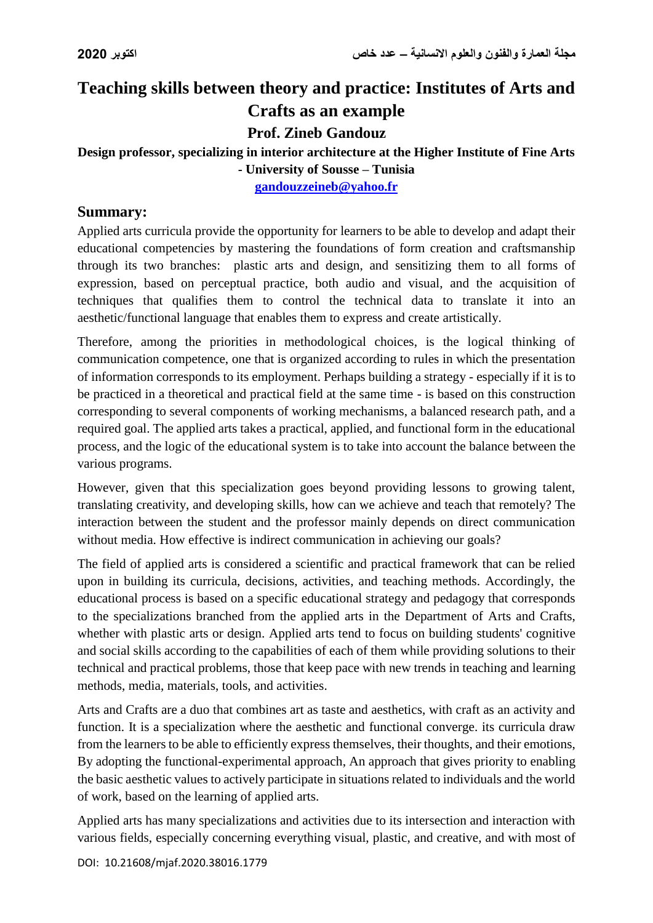# **Teaching skills between theory and practice: Institutes of Arts and Crafts as an example**

**Prof. Zineb Gandouz**

#### **Design professor, specializing in interior architecture at the Higher Institute of Fine Arts - University of Sousse – Tunisia**

**[gandouzzeineb@yahoo.fr](mailto:gandouzzeineb@yahoo.fr)**

#### **Summary:**

Applied arts curricula provide the opportunity for learners to be able to develop and adapt their educational competencies by mastering the foundations of form creation and craftsmanship through its two branches: plastic arts and design, and sensitizing them to all forms of expression, based on perceptual practice, both audio and visual, and the acquisition of techniques that qualifies them to control the technical data to translate it into an aesthetic/functional language that enables them to express and create artistically.

Therefore, among the priorities in methodological choices, is the logical thinking of communication competence, one that is organized according to rules in which the presentation of information corresponds to its employment. Perhaps building a strategy - especially if it is to be practiced in a theoretical and practical field at the same time - is based on this construction corresponding to several components of working mechanisms, a balanced research path, and a required goal. The applied arts takes a practical, applied, and functional form in the educational process, and the logic of the educational system is to take into account the balance between the various programs.

However, given that this specialization goes beyond providing lessons to growing talent, translating creativity, and developing skills, how can we achieve and teach that remotely? The interaction between the student and the professor mainly depends on direct communication without media. How effective is indirect communication in achieving our goals?

The field of applied arts is considered a scientific and practical framework that can be relied upon in building its curricula, decisions, activities, and teaching methods. Accordingly, the educational process is based on a specific educational strategy and pedagogy that corresponds to the specializations branched from the applied arts in the Department of Arts and Crafts, whether with plastic arts or design. Applied arts tend to focus on building students' cognitive and social skills according to the capabilities of each of them while providing solutions to their technical and practical problems, those that keep pace with new trends in teaching and learning methods, media, materials, tools, and activities.

Arts and Crafts are a duo that combines art as taste and aesthetics, with craft as an activity and function. It is a specialization where the aesthetic and functional converge. its curricula draw from the learners to be able to efficiently express themselves, their thoughts, and their emotions, By adopting the functional-experimental approach, An approach that gives priority to enabling the basic aesthetic values to actively participate in situations related to individuals and the world of work, based on the learning of applied arts.

Applied arts has many specializations and activities due to its intersection and interaction with various fields, especially concerning everything visual, plastic, and creative, and with most of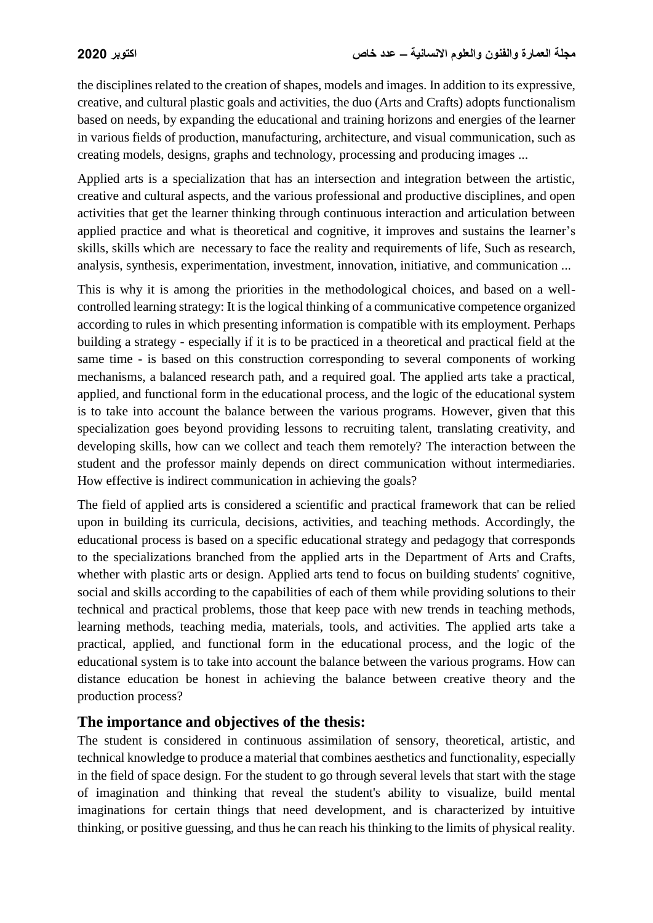the disciplines related to the creation of shapes, models and images. In addition to its expressive, creative, and cultural plastic goals and activities, the duo (Arts and Crafts) adopts functionalism based on needs, by expanding the educational and training horizons and energies of the learner in various fields of production, manufacturing, architecture, and visual communication, such as creating models, designs, graphs and technology, processing and producing images ...

Applied arts is a specialization that has an intersection and integration between the artistic, creative and cultural aspects, and the various professional and productive disciplines, and open activities that get the learner thinking through continuous interaction and articulation between applied practice and what is theoretical and cognitive, it improves and sustains the learner's skills, skills which are necessary to face the reality and requirements of life, Such as research, analysis, synthesis, experimentation, investment, innovation, initiative, and communication ...

This is why it is among the priorities in the methodological choices, and based on a wellcontrolled learning strategy: It is the logical thinking of a communicative competence organized according to rules in which presenting information is compatible with its employment. Perhaps building a strategy - especially if it is to be practiced in a theoretical and practical field at the same time - is based on this construction corresponding to several components of working mechanisms, a balanced research path, and a required goal. The applied arts take a practical, applied, and functional form in the educational process, and the logic of the educational system is to take into account the balance between the various programs. However, given that this specialization goes beyond providing lessons to recruiting talent, translating creativity, and developing skills, how can we collect and teach them remotely? The interaction between the student and the professor mainly depends on direct communication without intermediaries. How effective is indirect communication in achieving the goals?

The field of applied arts is considered a scientific and practical framework that can be relied upon in building its curricula, decisions, activities, and teaching methods. Accordingly, the educational process is based on a specific educational strategy and pedagogy that corresponds to the specializations branched from the applied arts in the Department of Arts and Crafts, whether with plastic arts or design. Applied arts tend to focus on building students' cognitive, social and skills according to the capabilities of each of them while providing solutions to their technical and practical problems, those that keep pace with new trends in teaching methods, learning methods, teaching media, materials, tools, and activities. The applied arts take a practical, applied, and functional form in the educational process, and the logic of the educational system is to take into account the balance between the various programs. How can distance education be honest in achieving the balance between creative theory and the production process?

#### **The importance and objectives of the thesis:**

The student is considered in continuous assimilation of sensory, theoretical, artistic, and technical knowledge to produce a material that combines aesthetics and functionality, especially in the field of space design. For the student to go through several levels that start with the stage of imagination and thinking that reveal the student's ability to visualize, build mental imaginations for certain things that need development, and is characterized by intuitive thinking, or positive guessing, and thus he can reach his thinking to the limits of physical reality.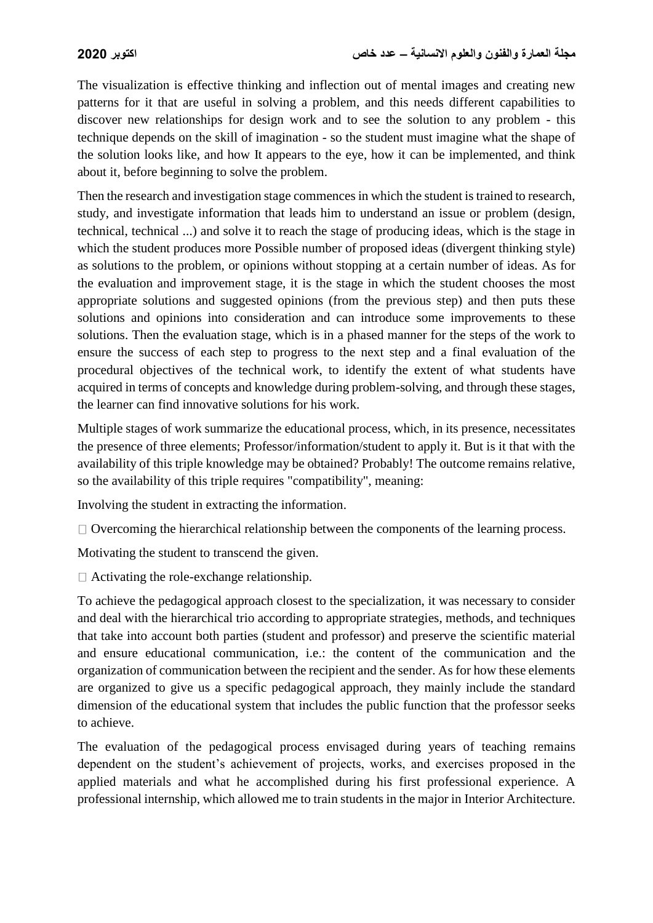The visualization is effective thinking and inflection out of mental images and creating new patterns for it that are useful in solving a problem, and this needs different capabilities to discover new relationships for design work and to see the solution to any problem - this technique depends on the skill of imagination - so the student must imagine what the shape of the solution looks like, and how It appears to the eye, how it can be implemented, and think about it, before beginning to solve the problem.

Then the research and investigation stage commences in which the student is trained to research, study, and investigate information that leads him to understand an issue or problem (design, technical, technical ...) and solve it to reach the stage of producing ideas, which is the stage in which the student produces more Possible number of proposed ideas (divergent thinking style) as solutions to the problem, or opinions without stopping at a certain number of ideas. As for the evaluation and improvement stage, it is the stage in which the student chooses the most appropriate solutions and suggested opinions (from the previous step) and then puts these solutions and opinions into consideration and can introduce some improvements to these solutions. Then the evaluation stage, which is in a phased manner for the steps of the work to ensure the success of each step to progress to the next step and a final evaluation of the procedural objectives of the technical work, to identify the extent of what students have acquired in terms of concepts and knowledge during problem-solving, and through these stages, the learner can find innovative solutions for his work.

Multiple stages of work summarize the educational process, which, in its presence, necessitates the presence of three elements; Professor/information/student to apply it. But is it that with the availability of this triple knowledge may be obtained? Probably! The outcome remains relative, so the availability of this triple requires "compatibility", meaning:

Involving the student in extracting the information.

 $\Box$  Overcoming the hierarchical relationship between the components of the learning process.

Motivating the student to transcend the given.

 $\Box$  Activating the role-exchange relationship.

To achieve the pedagogical approach closest to the specialization, it was necessary to consider and deal with the hierarchical trio according to appropriate strategies, methods, and techniques that take into account both parties (student and professor) and preserve the scientific material and ensure educational communication, i.e.: the content of the communication and the organization of communication between the recipient and the sender. As for how these elements are organized to give us a specific pedagogical approach, they mainly include the standard dimension of the educational system that includes the public function that the professor seeks to achieve.

The evaluation of the pedagogical process envisaged during years of teaching remains dependent on the student's achievement of projects, works, and exercises proposed in the applied materials and what he accomplished during his first professional experience. A professional internship, which allowed me to train students in the major in Interior Architecture.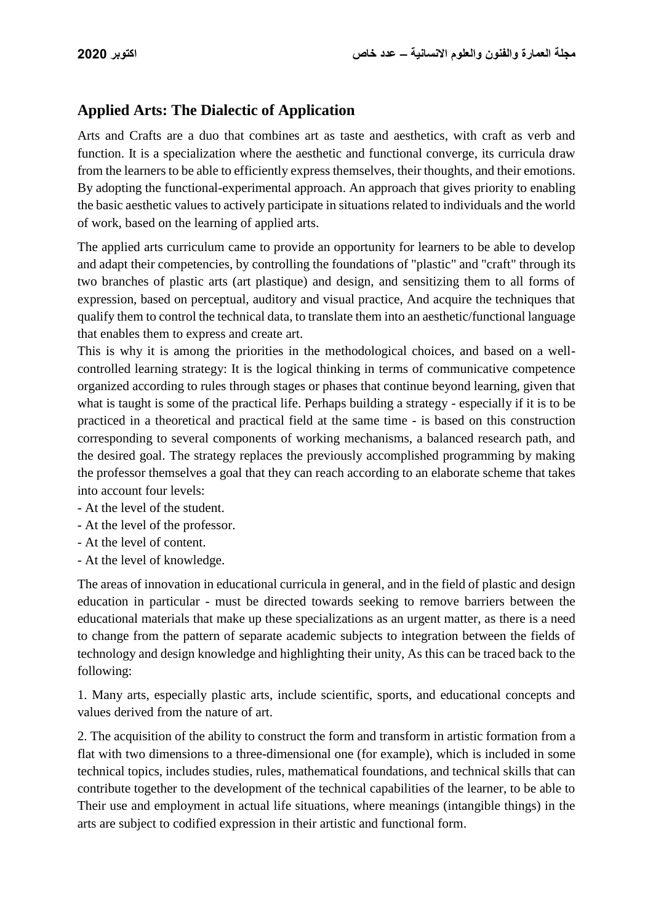## **Applied Arts: The Dialectic of Application**

Arts and Crafts are a duo that combines art as taste and aesthetics, with craft as verb and function. It is a specialization where the aesthetic and functional converge, its curricula draw from the learners to be able to efficiently express themselves, their thoughts, and their emotions. By adopting the functional-experimental approach. An approach that gives priority to enabling the basic aesthetic values to actively participate in situations related to individuals and the world of work, based on the learning of applied arts.

The applied arts curriculum came to provide an opportunity for learners to be able to develop and adapt their competencies, by controlling the foundations of "plastic" and "craft" through its two branches of plastic arts (art plastique) and design, and sensitizing them to all forms of expression, based on perceptual, auditory and visual practice, And acquire the techniques that qualify them to control the technical data, to translate them into an aesthetic/functional language that enables them to express and create art.

This is why it is among the priorities in the methodological choices, and based on a wellcontrolled learning strategy: It is the logical thinking in terms of communicative competence organized according to rules through stages or phases that continue beyond learning, given that what is taught is some of the practical life. Perhaps building a strategy - especially if it is to be practiced in a theoretical and practical field at the same time - is based on this construction corresponding to several components of working mechanisms, a balanced research path, and the desired goal. The strategy replaces the previously accomplished programming by making the professor themselves a goal that they can reach according to an elaborate scheme that takes into account four levels:

- At the level of the student.
- At the level of the professor.
- At the level of content.
- At the level of knowledge.

The areas of innovation in educational curricula in general, and in the field of plastic and design education in particular - must be directed towards seeking to remove barriers between the educational materials that make up these specializations as an urgent matter, as there is a need to change from the pattern of separate academic subjects to integration between the fields of technology and design knowledge and highlighting their unity, As this can be traced back to the following:

1. Many arts, especially plastic arts, include scientific, sports, and educational concepts and values derived from the nature of art.

2. The acquisition of the ability to construct the form and transform in artistic formation from a flat with two dimensions to a three-dimensional one (for example), which is included in some technical topics, includes studies, rules, mathematical foundations, and technical skills that can contribute together to the development of the technical capabilities of the learner, to be able to Their use and employment in actual life situations, where meanings (intangible things) in the arts are subject to codified expression in their artistic and functional form.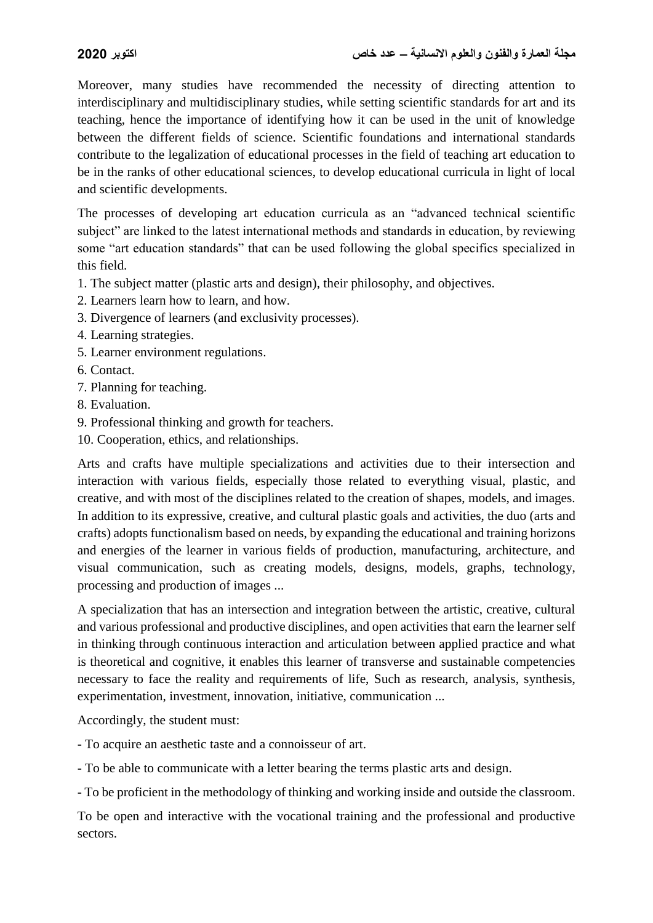Moreover, many studies have recommended the necessity of directing attention to interdisciplinary and multidisciplinary studies, while setting scientific standards for art and its teaching, hence the importance of identifying how it can be used in the unit of knowledge between the different fields of science. Scientific foundations and international standards contribute to the legalization of educational processes in the field of teaching art education to be in the ranks of other educational sciences, to develop educational curricula in light of local and scientific developments.

The processes of developing art education curricula as an "advanced technical scientific subject" are linked to the latest international methods and standards in education, by reviewing some "art education standards" that can be used following the global specifics specialized in this field.

1. The subject matter (plastic arts and design), their philosophy, and objectives.

- 2. Learners learn how to learn, and how.
- 3. Divergence of learners (and exclusivity processes).
- 4. Learning strategies.
- 5. Learner environment regulations.
- 6. Contact.
- 7. Planning for teaching.
- 8. Evaluation.
- 9. Professional thinking and growth for teachers.
- 10. Cooperation, ethics, and relationships.

Arts and crafts have multiple specializations and activities due to their intersection and interaction with various fields, especially those related to everything visual, plastic, and creative, and with most of the disciplines related to the creation of shapes, models, and images. In addition to its expressive, creative, and cultural plastic goals and activities, the duo (arts and crafts) adopts functionalism based on needs, by expanding the educational and training horizons and energies of the learner in various fields of production, manufacturing, architecture, and visual communication, such as creating models, designs, models, graphs, technology, processing and production of images ...

A specialization that has an intersection and integration between the artistic, creative, cultural and various professional and productive disciplines, and open activities that earn the learner self in thinking through continuous interaction and articulation between applied practice and what is theoretical and cognitive, it enables this learner of transverse and sustainable competencies necessary to face the reality and requirements of life. Such as research, analysis, synthesis, experimentation, investment, innovation, initiative, communication ...

Accordingly, the student must:

- To acquire an aesthetic taste and a connoisseur of art.
- To be able to communicate with a letter bearing the terms plastic arts and design.
- To be proficient in the methodology of thinking and working inside and outside the classroom.

To be open and interactive with the vocational training and the professional and productive sectors.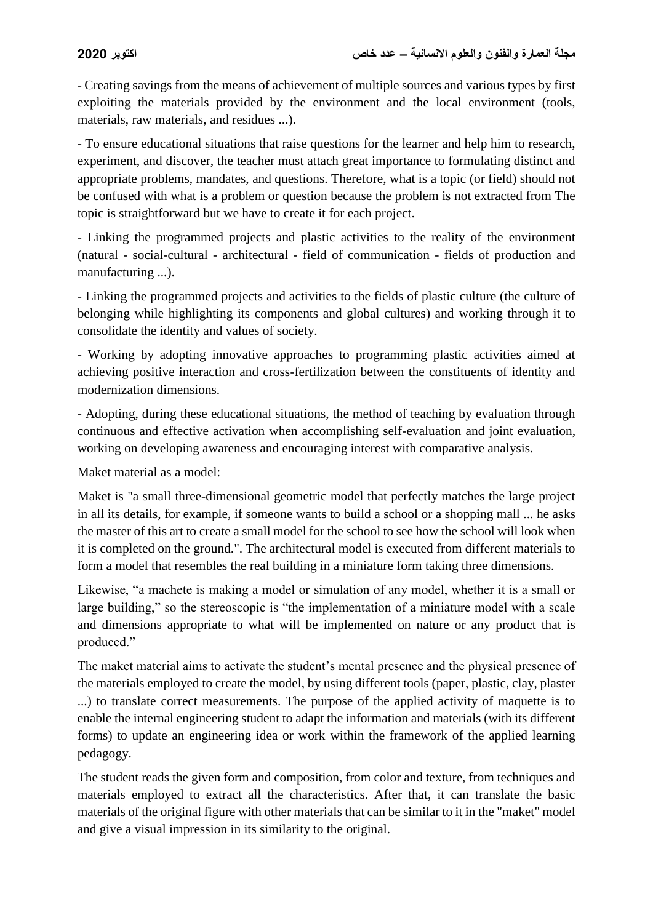- Creating savings from the means of achievement of multiple sources and various types by first exploiting the materials provided by the environment and the local environment (tools, materials, raw materials, and residues ...).

- To ensure educational situations that raise questions for the learner and help him to research, experiment, and discover, the teacher must attach great importance to formulating distinct and appropriate problems, mandates, and questions. Therefore, what is a topic (or field) should not be confused with what is a problem or question because the problem is not extracted from The topic is straightforward but we have to create it for each project.

- Linking the programmed projects and plastic activities to the reality of the environment (natural - social-cultural - architectural - field of communication - fields of production and manufacturing ...).

- Linking the programmed projects and activities to the fields of plastic culture (the culture of belonging while highlighting its components and global cultures) and working through it to consolidate the identity and values of society.

- Working by adopting innovative approaches to programming plastic activities aimed at achieving positive interaction and cross-fertilization between the constituents of identity and modernization dimensions.

- Adopting, during these educational situations, the method of teaching by evaluation through continuous and effective activation when accomplishing self-evaluation and joint evaluation, working on developing awareness and encouraging interest with comparative analysis.

Maket material as a model:

Maket is "a small three-dimensional geometric model that perfectly matches the large project in all its details, for example, if someone wants to build a school or a shopping mall ... he asks the master of this art to create a small model for the school to see how the school will look when it is completed on the ground.". The architectural model is executed from different materials to form a model that resembles the real building in a miniature form taking three dimensions.

Likewise, "a machete is making a model or simulation of any model, whether it is a small or large building," so the stereoscopic is "the implementation of a miniature model with a scale and dimensions appropriate to what will be implemented on nature or any product that is produced."

The maket material aims to activate the student's mental presence and the physical presence of the materials employed to create the model, by using different tools (paper, plastic, clay, plaster ...) to translate correct measurements. The purpose of the applied activity of maquette is to enable the internal engineering student to adapt the information and materials (with its different forms) to update an engineering idea or work within the framework of the applied learning pedagogy.

The student reads the given form and composition, from color and texture, from techniques and materials employed to extract all the characteristics. After that, it can translate the basic materials of the original figure with other materials that can be similar to it in the "maket" model and give a visual impression in its similarity to the original.